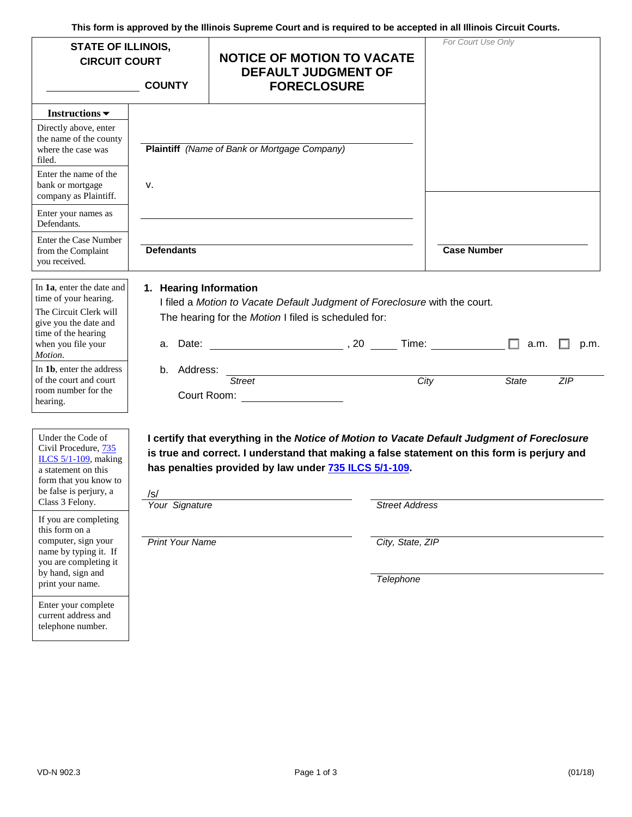**This form is approved by the Illinois Supreme Court and is required to be accepted in all Illinois Circuit Courts.** 

| <b>STATE OF ILLINOIS,</b><br><b>CIRCUIT COURT</b><br><b>COUNTY</b>                                                                                                                                                                                                                                         |                                                 | <b>NOTICE OF MOTION TO VACATE</b><br><b>DEFAULT JUDGMENT OF</b><br><b>FORECLOSURE</b>                                                                                                                                                               |                                           | For Court Use Only  |
|------------------------------------------------------------------------------------------------------------------------------------------------------------------------------------------------------------------------------------------------------------------------------------------------------------|-------------------------------------------------|-----------------------------------------------------------------------------------------------------------------------------------------------------------------------------------------------------------------------------------------------------|-------------------------------------------|---------------------|
| Instructions $\blacktriangledown$                                                                                                                                                                                                                                                                          |                                                 |                                                                                                                                                                                                                                                     |                                           |                     |
| Directly above, enter<br>the name of the county<br>where the case was<br>filed.<br>Enter the name of the<br>bank or mortgage<br>company as Plaintiff.                                                                                                                                                      | v.                                              | Plaintiff (Name of Bank or Mortgage Company)                                                                                                                                                                                                        |                                           |                     |
| Enter your names as<br>Defendants.                                                                                                                                                                                                                                                                         |                                                 |                                                                                                                                                                                                                                                     |                                           |                     |
| Enter the Case Number<br>from the Complaint<br>you received.                                                                                                                                                                                                                                               | <b>Defendants</b>                               |                                                                                                                                                                                                                                                     |                                           | <b>Case Number</b>  |
| In 1a, enter the date and<br>time of your hearing.<br>The Circuit Clerk will<br>give you the date and<br>time of the hearing<br>when you file your<br>Motion.                                                                                                                                              | 1. Hearing Information                          | I filed a Motion to Vacate Default Judgment of Foreclosure with the court.<br>The hearing for the Motion I filed is scheduled for:<br>a. Date: $\qquad \qquad$ , 20 $\qquad$ Time:                                                                  |                                           | a.m.<br>p.m.        |
| In 1b, enter the address<br>of the court and court<br>room number for the<br>hearing.                                                                                                                                                                                                                      | b. Address:                                     | <u> 1980 - Johann Barn, mars ann an t-Amhain Aonaich an t-Aonaich an t-Aonaich an t-Aonaich an t-Aonaich an t-Aon</u><br>Street<br>Court Room: <u>_______________</u>                                                                               | City                                      | ZIP<br><b>State</b> |
| Under the Code of<br>Civil Procedure, 735<br>ILCS $5/1-109$ , making<br>a statement on this<br>form that you know to<br>be false is perjury, a<br>Class 3 Felony.<br>If you are completing<br>this form on a<br>computer, sign your<br>name by typing it. If<br>you are completing it<br>by hand, sign and | /s/<br>Your Signature<br><b>Print Your Name</b> | I certify that everything in the Notice of Motion to Vacate Default Judgment of Foreclosure<br>is true and correct. I understand that making a false statement on this form is perjury and<br>has penalties provided by law under 735 ILCS 5/1-109. | <b>Street Address</b><br>City, State, ZIP |                     |
| print your name.<br>Enter your complete<br>current address and<br>telephone number.                                                                                                                                                                                                                        |                                                 |                                                                                                                                                                                                                                                     | Telephone                                 |                     |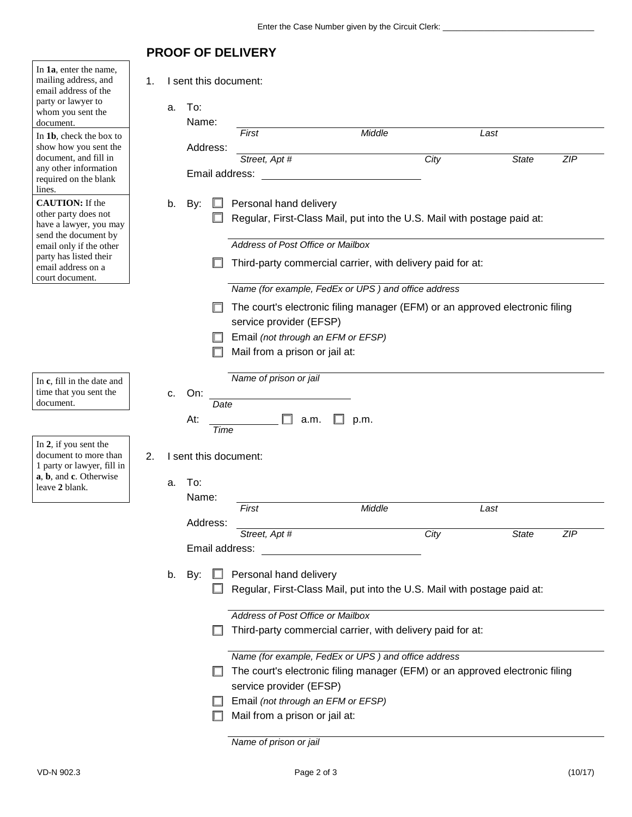## **PROOF OF DELIVERY**

| In 1a, enter the name,<br>mailing address, and<br>email address of the<br>party or lawyer to<br>whom you sent the<br>document.<br>In 1b, check the box to | 1. | a. | I sent this document:<br>To:<br>Name: | First                                                                        |                                   | Middle                                                     |      | Last                                                                         |            |
|-----------------------------------------------------------------------------------------------------------------------------------------------------------|----|----|---------------------------------------|------------------------------------------------------------------------------|-----------------------------------|------------------------------------------------------------|------|------------------------------------------------------------------------------|------------|
| show how you sent the                                                                                                                                     |    |    | Address:                              |                                                                              |                                   |                                                            |      |                                                                              |            |
| document, and fill in                                                                                                                                     |    |    |                                       | Street, Apt #                                                                |                                   |                                                            | City | <b>State</b>                                                                 | <b>ZIP</b> |
| any other information                                                                                                                                     |    |    | Email address:                        |                                                                              |                                   |                                                            |      |                                                                              |            |
| required on the blank<br>lines.                                                                                                                           |    |    |                                       |                                                                              |                                   |                                                            |      |                                                                              |            |
| <b>CAUTION:</b> If the                                                                                                                                    |    | b. | By:                                   |                                                                              | Personal hand delivery            |                                                            |      |                                                                              |            |
| other party does not                                                                                                                                      |    |    |                                       |                                                                              |                                   |                                                            |      | Regular, First-Class Mail, put into the U.S. Mail with postage paid at:      |            |
| have a lawyer, you may<br>send the document by                                                                                                            |    |    |                                       |                                                                              |                                   |                                                            |      |                                                                              |            |
| email only if the other                                                                                                                                   |    |    |                                       |                                                                              | Address of Post Office or Mailbox |                                                            |      |                                                                              |            |
| party has listed their                                                                                                                                    |    |    |                                       |                                                                              |                                   | Third-party commercial carrier, with delivery paid for at: |      |                                                                              |            |
| email address on a<br>court document.                                                                                                                     |    |    |                                       |                                                                              |                                   |                                                            |      |                                                                              |            |
|                                                                                                                                                           |    |    |                                       |                                                                              |                                   | Name (for example, FedEx or UPS) and office address        |      |                                                                              |            |
|                                                                                                                                                           |    |    |                                       |                                                                              |                                   |                                                            |      | The court's electronic filing manager (EFM) or an approved electronic filing |            |
|                                                                                                                                                           |    |    |                                       |                                                                              | service provider (EFSP)           |                                                            |      |                                                                              |            |
|                                                                                                                                                           |    |    |                                       |                                                                              |                                   | Email (not through an EFM or EFSP)                         |      |                                                                              |            |
|                                                                                                                                                           |    |    |                                       |                                                                              | Mail from a prison or jail at:    |                                                            |      |                                                                              |            |
|                                                                                                                                                           |    |    |                                       |                                                                              |                                   |                                                            |      |                                                                              |            |
| In c, fill in the date and                                                                                                                                |    |    |                                       | Name of prison or jail                                                       |                                   |                                                            |      |                                                                              |            |
| time that you sent the                                                                                                                                    |    | C. | On:                                   |                                                                              |                                   |                                                            |      |                                                                              |            |
| document.                                                                                                                                                 |    |    | Date                                  |                                                                              |                                   |                                                            |      |                                                                              |            |
|                                                                                                                                                           |    |    | At:                                   | Time                                                                         | a.m.                              | p.m.                                                       |      |                                                                              |            |
| In 2, if you sent the                                                                                                                                     |    |    |                                       |                                                                              |                                   |                                                            |      |                                                                              |            |
| document to more than                                                                                                                                     | 2. |    | I sent this document:                 |                                                                              |                                   |                                                            |      |                                                                              |            |
| 1 party or lawyer, fill in<br>a, b, and c. Otherwise                                                                                                      |    |    |                                       |                                                                              |                                   |                                                            |      |                                                                              |            |
| leave 2 blank.                                                                                                                                            |    | a. | To:                                   |                                                                              |                                   |                                                            |      |                                                                              |            |
|                                                                                                                                                           |    |    | Name:                                 |                                                                              |                                   |                                                            |      |                                                                              |            |
|                                                                                                                                                           |    |    |                                       | First                                                                        |                                   | Middle                                                     |      | Last                                                                         |            |
|                                                                                                                                                           |    |    | Address:                              | Street, Apt #                                                                |                                   |                                                            | City | <b>State</b>                                                                 | <b>ZIP</b> |
|                                                                                                                                                           |    |    | Email address:                        |                                                                              |                                   |                                                            |      |                                                                              |            |
|                                                                                                                                                           |    |    |                                       |                                                                              |                                   |                                                            |      |                                                                              |            |
|                                                                                                                                                           |    | b. | By:                                   |                                                                              | Personal hand delivery            |                                                            |      |                                                                              |            |
|                                                                                                                                                           |    |    |                                       |                                                                              |                                   |                                                            |      | Regular, First-Class Mail, put into the U.S. Mail with postage paid at:      |            |
|                                                                                                                                                           |    |    |                                       |                                                                              |                                   |                                                            |      |                                                                              |            |
|                                                                                                                                                           |    |    |                                       |                                                                              | Address of Post Office or Mailbox |                                                            |      |                                                                              |            |
|                                                                                                                                                           |    |    |                                       | Third-party commercial carrier, with delivery paid for at:                   |                                   |                                                            |      |                                                                              |            |
|                                                                                                                                                           |    |    |                                       |                                                                              |                                   | Name (for example, FedEx or UPS) and office address        |      |                                                                              |            |
|                                                                                                                                                           |    |    |                                       | The court's electronic filing manager (EFM) or an approved electronic filing |                                   |                                                            |      |                                                                              |            |
|                                                                                                                                                           |    |    |                                       |                                                                              | service provider (EFSP)           |                                                            |      |                                                                              |            |
|                                                                                                                                                           |    |    |                                       |                                                                              |                                   | Email (not through an EFM or EFSP)                         |      |                                                                              |            |
|                                                                                                                                                           |    |    |                                       |                                                                              | Mail from a prison or jail at:    |                                                            |      |                                                                              |            |
|                                                                                                                                                           |    |    |                                       |                                                                              |                                   |                                                            |      |                                                                              |            |

*Name of prison or jail*